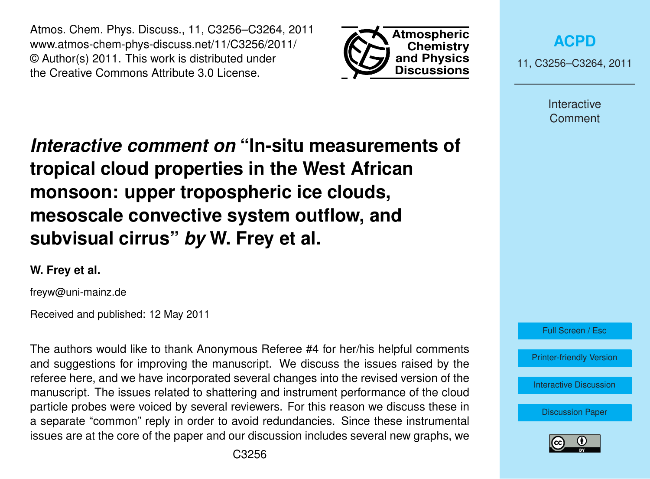Atmos. Chem. Phys. Discuss., 11, C3256–C3264, 2011 www.atmos-chem-phys-discuss.net/11/C3256/2011/ © Author(s) 2011. This work is distributed under the Creative Commons Attribute 3.0 License.



**[ACPD](http://www.atmos-chem-phys-discuss.net)**

11, C3256–C3264, 2011

Interactive **Comment** 

*Interactive comment on* **"In-situ measurements of tropical cloud properties in the West African monsoon: upper tropospheric ice clouds, mesoscale convective system outflow, and subvisual cirrus"** *by* **W. Frey et al.**

## **W. Frey et al.**

freyw@uni-mainz.de

Received and published: 12 May 2011

The authors would like to thank Anonymous Referee #4 for her/his helpful comments and suggestions for improving the manuscript. We discuss the issues raised by the referee here, and we have incorporated several changes into the revised version of the manuscript. The issues related to shattering and instrument performance of the cloud particle probes were voiced by several reviewers. For this reason we discuss these in a separate "common" reply in order to avoid redundancies. Since these instrumental issues are at the core of the paper and our discussion includes several new graphs, we



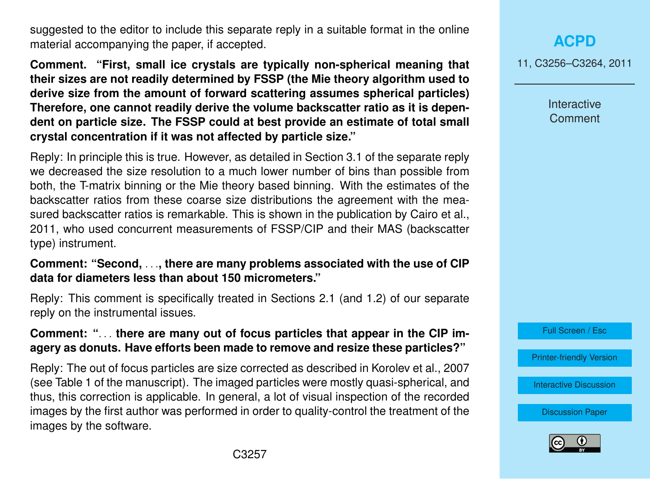suggested to the editor to include this separate reply in a suitable format in the online material accompanying the paper, if accepted.

**Comment. "First, small ice crystals are typically non-spherical meaning that their sizes are not readily determined by FSSP (the Mie theory algorithm used to derive size from the amount of forward scattering assumes spherical particles) Therefore, one cannot readily derive the volume backscatter ratio as it is dependent on particle size. The FSSP could at best provide an estimate of total small crystal concentration if it was not affected by particle size."**

Reply: In principle this is true. However, as detailed in Section 3.1 of the separate reply we decreased the size resolution to a much lower number of bins than possible from both, the T-matrix binning or the Mie theory based binning. With the estimates of the backscatter ratios from these coarse size distributions the agreement with the measured backscatter ratios is remarkable. This is shown in the publication by Cairo et al., 2011, who used concurrent measurements of FSSP/CIP and their MAS (backscatter type) instrument.

### **Comment: "Second,** . . .**, there are many problems associated with the use of CIP data for diameters less than about 150 micrometers."**

Reply: This comment is specifically treated in Sections 2.1 (and 1.2) of our separate reply on the instrumental issues.

## **Comment: "**. . . **there are many out of focus particles that appear in the CIP imagery as donuts. Have efforts been made to remove and resize these particles?"**

Reply: The out of focus particles are size corrected as described in Korolev et al., 2007 (see Table 1 of the manuscript). The imaged particles were mostly quasi-spherical, and thus, this correction is applicable. In general, a lot of visual inspection of the recorded images by the first author was performed in order to quality-control the treatment of the images by the software.

# **[ACPD](http://www.atmos-chem-phys-discuss.net)**

11, C3256–C3264, 2011

Interactive **Comment** 

Full Screen / Esc

[Printer-friendly Version](http://www.atmos-chem-phys-discuss.net/11/C3256/2011/acpd-11-C3256-2011-print.pdf)

[Interactive Discussion](http://www.atmos-chem-phys-discuss.net/11/745/2011/acpd-11-745-2011-discussion.html)

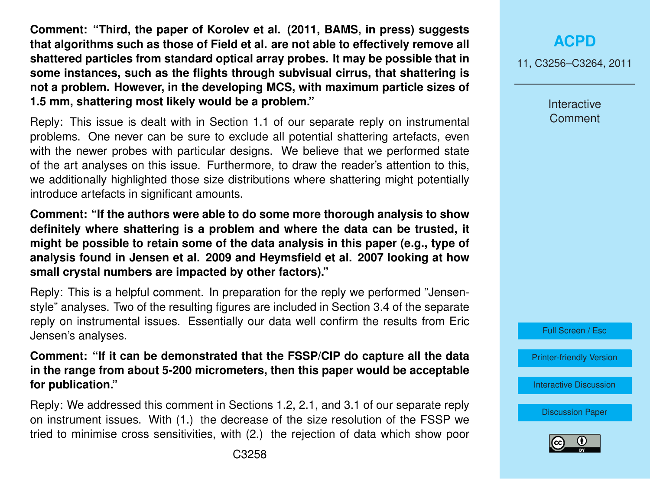**Comment: "Third, the paper of Korolev et al. (2011, BAMS, in press) suggests that algorithms such as those of Field et al. are not able to effectively remove all shattered particles from standard optical array probes. It may be possible that in some instances, such as the flights through subvisual cirrus, that shattering is not a problem. However, in the developing MCS, with maximum particle sizes of 1.5 mm, shattering most likely would be a problem."**

Reply: This issue is dealt with in Section 1.1 of our separate reply on instrumental problems. One never can be sure to exclude all potential shattering artefacts, even with the newer probes with particular designs. We believe that we performed state of the art analyses on this issue. Furthermore, to draw the reader's attention to this, we additionally highlighted those size distributions where shattering might potentially introduce artefacts in significant amounts.

**Comment: "If the authors were able to do some more thorough analysis to show definitely where shattering is a problem and where the data can be trusted, it might be possible to retain some of the data analysis in this paper (e.g., type of analysis found in Jensen et al. 2009 and Heymsfield et al. 2007 looking at how small crystal numbers are impacted by other factors)."**

Reply: This is a helpful comment. In preparation for the reply we performed "Jensenstyle" analyses. Two of the resulting figures are included in Section 3.4 of the separate reply on instrumental issues. Essentially our data well confirm the results from Eric Jensen's analyses.

**Comment: "If it can be demonstrated that the FSSP/CIP do capture all the data in the range from about 5-200 micrometers, then this paper would be acceptable for publication."**

Reply: We addressed this comment in Sections 1.2, 2.1, and 3.1 of our separate reply on instrument issues. With (1.) the decrease of the size resolution of the FSSP we tried to minimise cross sensitivities, with (2.) the rejection of data which show poor

11, C3256–C3264, 2011

Interactive **Comment** 



[Printer-friendly Version](http://www.atmos-chem-phys-discuss.net/11/C3256/2011/acpd-11-C3256-2011-print.pdf)

[Interactive Discussion](http://www.atmos-chem-phys-discuss.net/11/745/2011/acpd-11-745-2011-discussion.html)

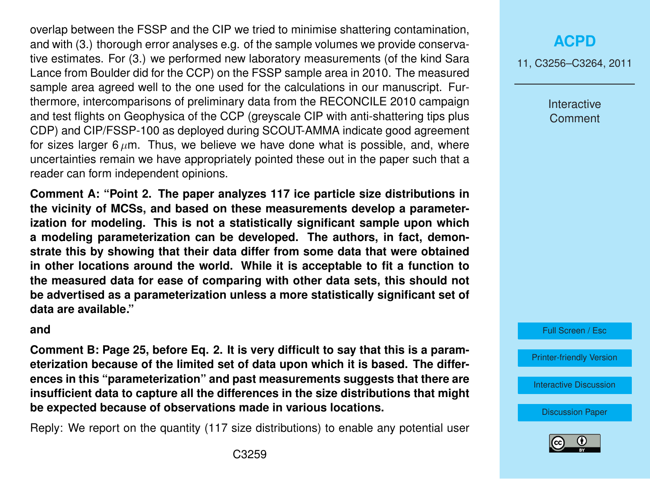overlap between the FSSP and the CIP we tried to minimise shattering contamination, and with (3.) thorough error analyses e.g. of the sample volumes we provide conservative estimates. For (3.) we performed new laboratory measurements (of the kind Sara Lance from Boulder did for the CCP) on the FSSP sample area in 2010. The measured sample area agreed well to the one used for the calculations in our manuscript. Furthermore, intercomparisons of preliminary data from the RECONCILE 2010 campaign and test flights on Geophysica of the CCP (greyscale CIP with anti-shattering tips plus CDP) and CIP/FSSP-100 as deployed during SCOUT-AMMA indicate good agreement for sizes larger 6  $\mu$ m. Thus, we believe we have done what is possible, and, where uncertainties remain we have appropriately pointed these out in the paper such that a reader can form independent opinions.

**Comment A: "Point 2. The paper analyzes 117 ice particle size distributions in the vicinity of MCSs, and based on these measurements develop a parameterization for modeling. This is not a statistically significant sample upon which a modeling parameterization can be developed. The authors, in fact, demonstrate this by showing that their data differ from some data that were obtained in other locations around the world. While it is acceptable to fit a function to the measured data for ease of comparing with other data sets, this should not be advertised as a parameterization unless a more statistically significant set of data are available."**

#### **and**

**Comment B: Page 25, before Eq. 2. It is very difficult to say that this is a parameterization because of the limited set of data upon which it is based. The differences in this "parameterization" and past measurements suggests that there are insufficient data to capture all the differences in the size distributions that might be expected because of observations made in various locations.**

Reply: We report on the quantity (117 size distributions) to enable any potential user

## **[ACPD](http://www.atmos-chem-phys-discuss.net)**

11, C3256–C3264, 2011

Interactive **Comment** 

Full Screen / Esc

[Printer-friendly Version](http://www.atmos-chem-phys-discuss.net/11/C3256/2011/acpd-11-C3256-2011-print.pdf)

[Interactive Discussion](http://www.atmos-chem-phys-discuss.net/11/745/2011/acpd-11-745-2011-discussion.html)

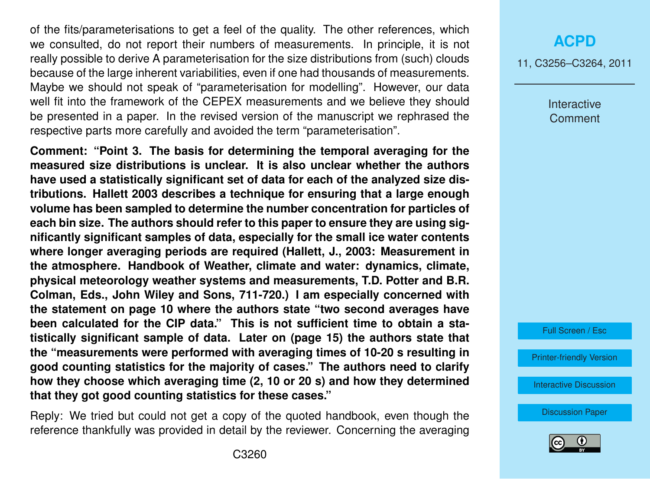of the fits/parameterisations to get a feel of the quality. The other references, which we consulted, do not report their numbers of measurements. In principle, it is not really possible to derive A parameterisation for the size distributions from (such) clouds because of the large inherent variabilities, even if one had thousands of measurements. Maybe we should not speak of "parameterisation for modelling". However, our data well fit into the framework of the CEPEX measurements and we believe they should be presented in a paper. In the revised version of the manuscript we rephrased the respective parts more carefully and avoided the term "parameterisation".

**Comment: "Point 3. The basis for determining the temporal averaging for the measured size distributions is unclear. It is also unclear whether the authors have used a statistically significant set of data for each of the analyzed size distributions. Hallett 2003 describes a technique for ensuring that a large enough volume has been sampled to determine the number concentration for particles of each bin size. The authors should refer to this paper to ensure they are using significantly significant samples of data, especially for the small ice water contents where longer averaging periods are required (Hallett, J., 2003: Measurement in the atmosphere. Handbook of Weather, climate and water: dynamics, climate, physical meteorology weather systems and measurements, T.D. Potter and B.R. Colman, Eds., John Wiley and Sons, 711-720.) I am especially concerned with the statement on page 10 where the authors state "two second averages have been calculated for the CIP data." This is not sufficient time to obtain a statistically significant sample of data. Later on (page 15) the authors state that the "measurements were performed with averaging times of 10-20 s resulting in good counting statistics for the majority of cases." The authors need to clarify how they choose which averaging time (2, 10 or 20 s) and how they determined that they got good counting statistics for these cases."**

Reply: We tried but could not get a copy of the quoted handbook, even though the reference thankfully was provided in detail by the reviewer. Concerning the averaging

### **[ACPD](http://www.atmos-chem-phys-discuss.net)**

11, C3256–C3264, 2011

Interactive **Comment** 

Full Screen / Esc

[Printer-friendly Version](http://www.atmos-chem-phys-discuss.net/11/C3256/2011/acpd-11-C3256-2011-print.pdf)

[Interactive Discussion](http://www.atmos-chem-phys-discuss.net/11/745/2011/acpd-11-745-2011-discussion.html)

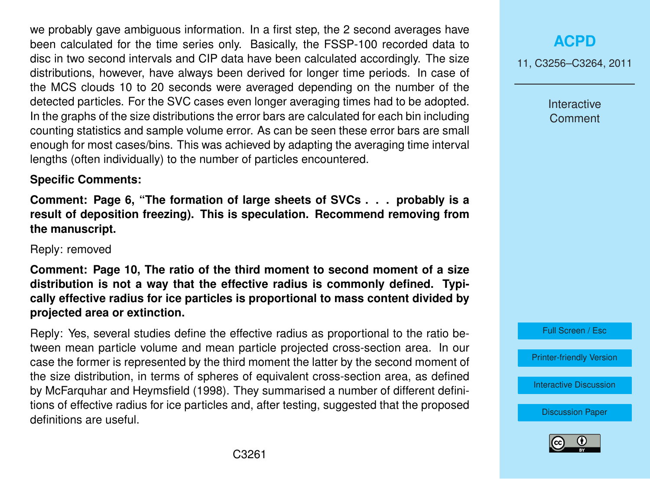we probably gave ambiguous information. In a first step, the 2 second averages have been calculated for the time series only. Basically, the FSSP-100 recorded data to disc in two second intervals and CIP data have been calculated accordingly. The size distributions, however, have always been derived for longer time periods. In case of the MCS clouds 10 to 20 seconds were averaged depending on the number of the detected particles. For the SVC cases even longer averaging times had to be adopted. In the graphs of the size distributions the error bars are calculated for each bin including counting statistics and sample volume error. As can be seen these error bars are small enough for most cases/bins. This was achieved by adapting the averaging time interval lengths (often individually) to the number of particles encountered.

#### **Specific Comments:**

**Comment: Page 6, "The formation of large sheets of SVCs . . . probably is a result of deposition freezing). This is speculation. Recommend removing from the manuscript.**

#### Reply: removed

**Comment: Page 10, The ratio of the third moment to second moment of a size distribution is not a way that the effective radius is commonly defined. Typically effective radius for ice particles is proportional to mass content divided by projected area or extinction.**

Reply: Yes, several studies define the effective radius as proportional to the ratio between mean particle volume and mean particle projected cross-section area. In our case the former is represented by the third moment the latter by the second moment of the size distribution, in terms of spheres of equivalent cross-section area, as defined by McFarquhar and Heymsfield (1998). They summarised a number of different definitions of effective radius for ice particles and, after testing, suggested that the proposed definitions are useful.

11, C3256–C3264, 2011

Interactive **Comment** 

Full Screen / Esc

[Printer-friendly Version](http://www.atmos-chem-phys-discuss.net/11/C3256/2011/acpd-11-C3256-2011-print.pdf)

[Interactive Discussion](http://www.atmos-chem-phys-discuss.net/11/745/2011/acpd-11-745-2011-discussion.html)

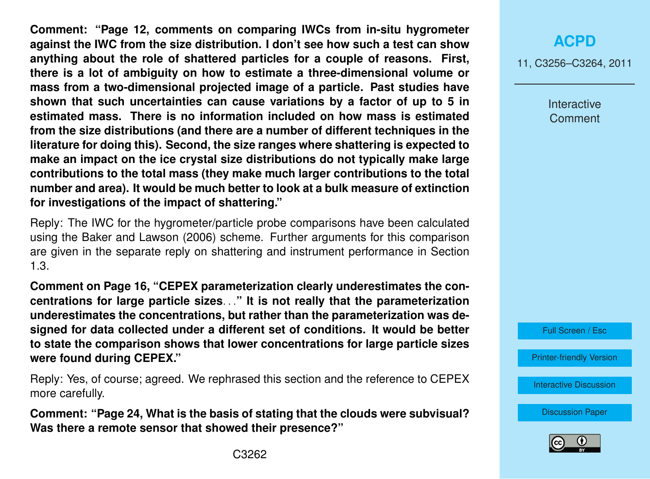**Comment: "Page 12, comments on comparing IWCs from in-situ hygrometer against the IWC from the size distribution. I don't see how such a test can show anything about the role of shattered particles for a couple of reasons. First, there is a lot of ambiguity on how to estimate a three-dimensional volume or mass from a two-dimensional projected image of a particle. Past studies have shown that such uncertainties can cause variations by a factor of up to 5 in estimated mass. There is no information included on how mass is estimated from the size distributions (and there are a number of different techniques in the literature for doing this). Second, the size ranges where shattering is expected to make an impact on the ice crystal size distributions do not typically make large contributions to the total mass (they make much larger contributions to the total number and area). It would be much better to look at a bulk measure of extinction for investigations of the impact of shattering."**

Reply: The IWC for the hygrometer/particle probe comparisons have been calculated using the Baker and Lawson (2006) scheme. Further arguments for this comparison are given in the separate reply on shattering and instrument performance in Section 1.3.

**Comment on Page 16, "CEPEX parameterization clearly underestimates the concentrations for large particle sizes**. . .**" It is not really that the parameterization underestimates the concentrations, but rather than the parameterization was designed for data collected under a different set of conditions. It would be better to state the comparison shows that lower concentrations for large particle sizes were found during CEPEX."**

Reply: Yes, of course; agreed. We rephrased this section and the reference to CEPEX more carefully.

**Comment: "Page 24, What is the basis of stating that the clouds were subvisual? Was there a remote sensor that showed their presence?"**

## **[ACPD](http://www.atmos-chem-phys-discuss.net)**

11, C3256–C3264, 2011

Interactive **Comment** 



[Printer-friendly Version](http://www.atmos-chem-phys-discuss.net/11/C3256/2011/acpd-11-C3256-2011-print.pdf)

[Interactive Discussion](http://www.atmos-chem-phys-discuss.net/11/745/2011/acpd-11-745-2011-discussion.html)

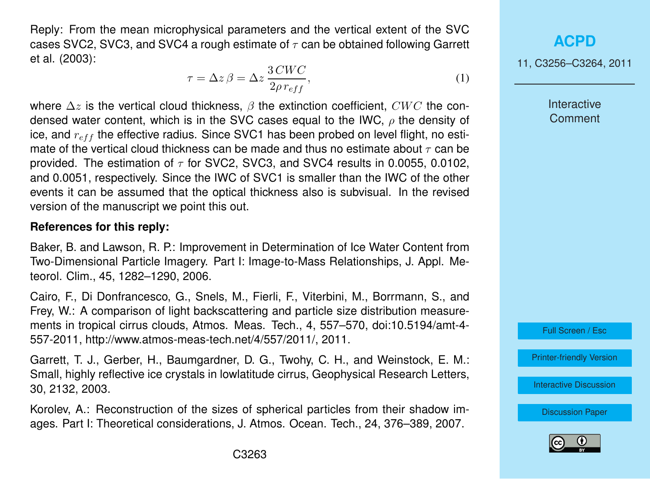Reply: From the mean microphysical parameters and the vertical extent of the SVC cases SVC2. SVC3. and SVC4 a rough estimate of  $\tau$  can be obtained following Garrett et al. (2003):

$$
\tau = \Delta z \,\beta = \Delta z \,\frac{3 \, CWC}{2 \rho \, r_{eff}},\tag{1}
$$

where  $\Delta z$  is the vertical cloud thickness,  $\beta$  the extinction coefficient, CWC the condensed water content, which is in the SVC cases equal to the IWC,  $\rho$  the density of ice, and  $r_{eff}$  the effective radius. Since SVC1 has been probed on level flight, no estimate of the vertical cloud thickness can be made and thus no estimate about  $\tau$  can be provided. The estimation of  $\tau$  for SVC2, SVC3, and SVC4 results in 0.0055, 0.0102, and 0.0051, respectively. Since the IWC of SVC1 is smaller than the IWC of the other events it can be assumed that the optical thickness also is subvisual. In the revised version of the manuscript we point this out.

#### **References for this reply:**

Baker, B. and Lawson, R. P.: Improvement in Determination of Ice Water Content from Two-Dimensional Particle Imagery. Part I: Image-to-Mass Relationships, J. Appl. Meteorol. Clim., 45, 1282–1290, 2006.

Cairo, F., Di Donfrancesco, G., Snels, M., Fierli, F., Viterbini, M., Borrmann, S., and Frey, W.: A comparison of light backscattering and particle size distribution measurements in tropical cirrus clouds, Atmos. Meas. Tech., 4, 557–570, doi:10.5194/amt-4- 557-2011, http://www.atmos-meas-tech.net/4/557/2011/, 2011.

Garrett, T. J., Gerber, H., Baumgardner, D. G., Twohy, C. H., and Weinstock, E. M.: Small, highly reflective ice crystals in lowlatitude cirrus, Geophysical Research Letters, 30, 2132, 2003.

Korolev, A.: Reconstruction of the sizes of spherical particles from their shadow images. Part I: Theoretical considerations, J. Atmos. Ocean. Tech., 24, 376–389, 2007.

**[ACPD](http://www.atmos-chem-phys-discuss.net)**

11, C3256–C3264, 2011

**Interactive Comment** 

Full Screen / Esc

[Printer-friendly Version](http://www.atmos-chem-phys-discuss.net/11/C3256/2011/acpd-11-C3256-2011-print.pdf)

[Interactive Discussion](http://www.atmos-chem-phys-discuss.net/11/745/2011/acpd-11-745-2011-discussion.html)